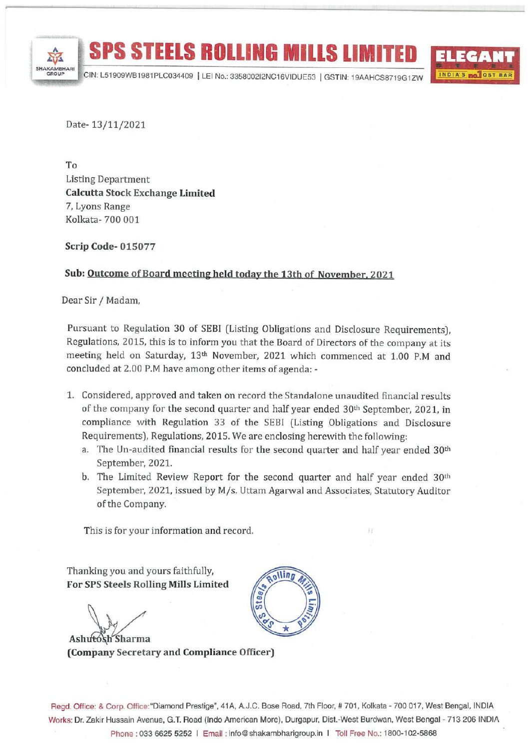

**INDIA'S MOLOST BAR** 

Date-13/11/2021

To **Listing Department Calcutta Stock Exchange Limited** 7, Lyons Range Kolkata-700 001

**Scrip Code-015077** 

## Sub: Outcome of Board meeting held today the 13th of November, 2021

Dear Sir / Madam,

Pursuant to Regulation 30 of SEBI (Listing Obligations and Disclosure Requirements), Regulations, 2015, this is to inform you that the Board of Directors of the company at its meeting held on Saturday, 13th November, 2021 which commenced at 1.00 P.M and concluded at 2.00 P.M have among other items of agenda: -

- 1. Considered, approved and taken on record the Standalone unaudited financial results of the company for the second quarter and half year ended 30<sup>th</sup> September, 2021, in compliance with Regulation 33 of the SEBI (Listing Obligations and Disclosure Requirements), Regulations, 2015. We are enclosing herewith the following:
	- a. The Un-audited financial results for the second quarter and half year ended 30<sup>th</sup> September, 2021.
	- b. The Limited Review Report for the second quarter and half year ended  $30<sup>th</sup>$ September, 2021, issued by M/s. Uttam Agarwal and Associates, Statutory Auditor of the Company.

This is for your information and record.

Thanking you and yours faithfully, For SPS Steels Rolling Mills Limited

Ashutosh Sharma (Company Secretary and Compliance Officer)



Regd. Office: & Corp. Office: "Diamond Prestige", 41A, A.J.C. Bose Road, 7th Floor, #701, Kolkata - 700 017, West Bengal, INDIA Works: Dr. Zakir Hussain Avenue, G.T. Road (Indo American More), Durgapur, Dist.-West Burdwan, West Bengal - 713 206 INDIA Phone: 033 6625 5252 | Email: info@shakambharigroup.in | Toll Free No.: 1800-102-5868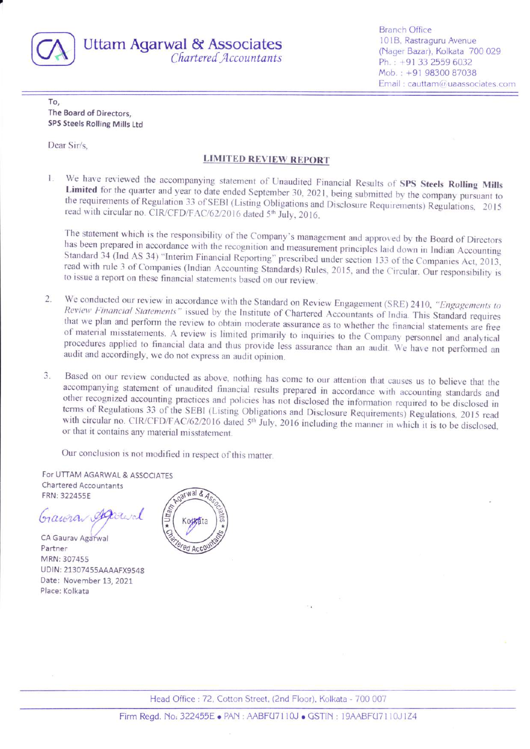

**Uttam Agarwal & Associates** Chartered Accountants **Branch Office** 101B, Rastraguru Avenue (Nager Bazar), Kolkata 700 029 Ph.: +91 33 2559 6032 Mob.: +91 98300 87038 Email: cauttam@uaassociates.com

To. The Board of Directors, SPS Steels Rolling Mills Ltd

Dear Sir/s.

## **LIMITED REVIEW REPORT**

We have reviewed the accompanying statement of Unaudited Financial Results of SPS Steels Rolling Mills Ŧ. Limited for the quarter and year to date ended September 30, 2021, being submitted by the company pursuant to the requirements of Regulation 33 of SEBI (Listing Obligations and Disclosure Requirements) Regulations, 2015 read with circular no. CIR/CFD/FAC/62/2016 dated 5<sup>th</sup> July, 2016.

The statement which is the responsibility of the Company's management and approved by the Board of Directors has been prepared in accordance with the recognition and measurement principles laid down in Indian Accounting Standard 34 (Ind AS 34) "Interim Financial Reporting" prescribed under section 133 of the Companies Act, 2013, read with rule 3 of Companies (Indian Accounting Standards) Rules, 2015, and the Circular. Our responsibility is to issue a report on these financial statements based on our review.

- We conducted our review in accordance with the Standard on Review Engagement (SRE) 2410, "Engagements to  $\overline{2}$ . Review Financial Statements" issued by the Institute of Chartered Accountants of India. This Standard requires that we plan and perform the review to obtain moderate assurance as to whether the financial statements are free of material misstatements. A review is limited primarily to inquiries to the Company personnel and analytical procedures applied to financial data and thus provide less assurance than an audit. We have not performed an audit and accordingly, we do not express an audit opinion.
- Based on our review conducted as above, nothing has come to our attention that causes us to believe that the  $3.$ accompanying statement of unaudited financial results prepared in accordance with accounting standards and other recognized accounting practices and policies has not disclosed the information required to be disclosed in terms of Regulations 33 of the SEBI (Listing Obligations and Disclosure Requirements) Regulations, 2015 read with circular no. CIR/CFD/FAC/62/2016 dated 5<sup>th</sup> July, 2016 including the manner in which it is to be disclosed, or that it contains any material misstatement.

Our conclusion is not modified in respect of this matter.

For UTTAM AGARWAL & ASSOCIATES **Chartered Accountants** FRN: 322455E

Gaura

CA Gaurav Agarwal Partner MRN: 307455 UDIN: 21307455AAAAFX9548 Date: November 13, 2021 Place: Kolkata



Head Office: 72, Cotton Street, (2nd Floor), Kolkata - 700 007

Firm Regd. No: 322455E . PAN: AABFU7110J . GSTIN: 19AABFU7110J1Z4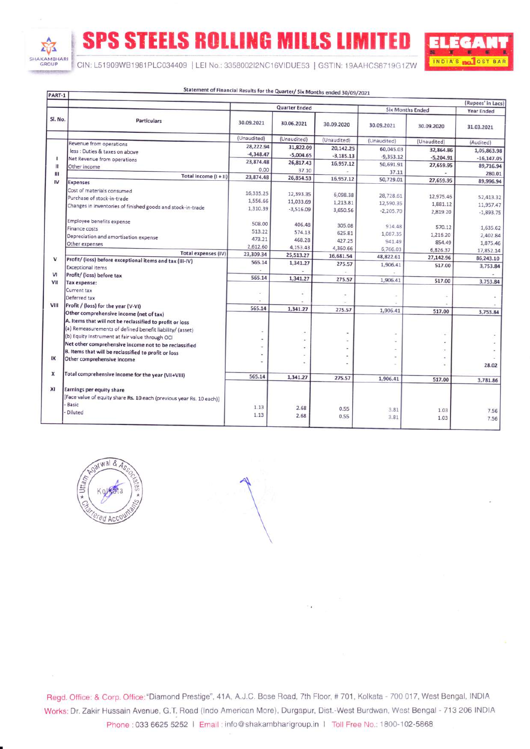SHAKAMBHARI

**SPS STEELS ROLLING MILLS LIMITED** 



CIN: L51909WB1981PLC034409 | LEI No.: 3358002I2NC16VIDUE53 | GSTIN: 19AAHCS8719G1ZW

| PART-1         |                                                                                                     |                      |             |             |                         |             | (Rupees' in Lacs) |
|----------------|-----------------------------------------------------------------------------------------------------|----------------------|-------------|-------------|-------------------------|-------------|-------------------|
| Sl. No.        | <b>Particulars</b>                                                                                  | <b>Quarter Ended</b> |             |             | <b>Six Months Ended</b> |             | <b>Year Ended</b> |
|                |                                                                                                     | 30.09.2021           | 30.06.2021  | 30.09.2020  | 30.09.2021              | 30.09.2020  | 31.03.2021        |
|                |                                                                                                     | (Unaudited)          | (Unaudited) | (Unaudited) | (Unaudited)             | (Unaudited) | (Audited)         |
|                | Revenue from operations<br>less : Duties & taxes on above                                           | 28,222.94            | 31,822.09   | 20,142.25   | 60,045.03               | 32,864.86   | 1,05,863.98       |
|                |                                                                                                     | $-4,348.47$          | $-5,004.65$ | $-3.185.13$ | $-9,353.12$             | $-5,204.91$ | $-16,147.05$      |
| Ш              | Net Revenue from operations<br>Other income                                                         | 23,874.48            | 26,817.43   | 16,957.12   | 50,691.91               | 27,659.95   | 89,716.94         |
| Ш              |                                                                                                     | 0.00                 | 37.10       |             | 37.11                   |             | 280.01            |
| IV             | Total income $(1 + 11)$                                                                             | 23,874.48            | 26,854.53   | 16,957.12   | 50,729.01               | 27,659.95   | 89,996.94         |
| v              | <b>Expenses</b>                                                                                     |                      |             |             |                         |             |                   |
|                | Cost of materials consumed                                                                          | 16,335.25            | 12,393.35   | 6,098.38    | 28,728.61               | 12,975.46   | 52,413.32         |
|                | Purchase of stock-in-trade                                                                          | 1,556.66             | 11,033.69   | 1,213.81    | 12,590.35               | 1,881.12    | 11,957.47         |
|                | Changes in inventories of finished goods and stock-in-trade                                         | 1,310.39             | $-3,516.09$ | 3,650.56    | $-2,205.70$             | 2,819.20    | $-1,893.75$       |
|                |                                                                                                     |                      |             |             |                         |             |                   |
|                | Employee benefits expense<br>Finance costs                                                          | 508.00               | 406.48      | 305.08      | 914.48                  | 570.12      | 1,635.62          |
|                |                                                                                                     | 513.22               | 574.13      | 625.81      | 1,087.35                | 1,216.20    | 2,402.84          |
|                | Depreciation and amortisation expense<br>Other expenses                                             | 473.21               | 468.28      | 427.25      | 941.49                  | 854.49      | 1,875.46          |
|                |                                                                                                     | 2,612.60             | 4,153.43    | 4,360.66    | 6,766.03                | 6,826.37    | 17,852.14         |
|                | <b>Total expenses (IV)</b>                                                                          | 23,309.34            | 25,513.27   | 16,681.54   | 48,822.61               | 27,142.96   | 86,243.10         |
|                | Profit/ (loss) before exceptional items and tax (III-IV)                                            | 565.14               | 1,341.27    | 275.57      | 1,906.41                | 517.00      | 3,753.84          |
| V <sub>1</sub> | <b>Exceptional items</b><br>Profit/ (loss) before tax                                               |                      |             |             |                         |             |                   |
| VII            |                                                                                                     | 565.14               | 1,341.27    | 275.57      | 1,906.41                | 517.00      | 3,753.84          |
|                | Tax expense:<br>Current tax                                                                         |                      |             |             |                         |             |                   |
|                | Deferred tax                                                                                        |                      |             |             |                         |             |                   |
| VIII           | Profit / (loss) for the year (V-VI)                                                                 |                      |             |             |                         |             |                   |
|                |                                                                                                     | 565.14               | 1,341.27    | 275.57      | 1,906.41                | 517.00      | 3,753.84          |
|                | Other comprehensive income (net of tax)<br>A. Items that will not be reclassified to profit or loss |                      |             |             |                         |             |                   |
|                | (a) Remeasurements of defined benefit liability/ (asset)                                            |                      |             |             |                         |             |                   |
|                | (b) Equity Instrument at fair value through OCI                                                     |                      |             |             |                         |             |                   |
|                | Net other comprehensive income not to be reclassified                                               |                      |             |             |                         |             |                   |
|                | B. Items that will be reclassified to profit or loss                                                |                      |             |             |                         |             |                   |
| IX             | Other comprehensive income                                                                          |                      |             |             |                         |             |                   |
|                |                                                                                                     |                      |             |             |                         |             | 28.02             |
| x              | Total comprehensive income for the year (VII+VIII)                                                  | 565.14               | 1,341.27    | 275.57      | 1.906.41                | 517.00      | 3,781.86          |
| XI             | Earnings per equity share                                                                           |                      |             |             |                         |             |                   |
|                | [Face value of equity share Rs. 10 each (previous year Rs. 10 each)]                                |                      |             |             |                         |             |                   |
|                | Basic                                                                                               |                      |             |             |                         |             |                   |
|                | Diluted                                                                                             | 1.13                 | 2.68        | 0.55        | 3.81                    | 1.03        | 7.56              |
|                |                                                                                                     | 1.13                 | 2.68        | 0.55        | 3.81                    | 1.03        | 7.56              |

Statement of Classedal Deside food and



Regd. Office: & Corp. Office: "Diamond Prestige", 41A, A.J.C. Bose Road, 7th Floor, #701, Kolkata - 700 017, West Bengal, INDIA Works: Dr. Zakir Hussain Avenue, G.T. Road (Indo American More), Durgapur, Dist.-West Burdwan, West Bengal - 713 206 INDIA Phone: 033 6625 5252 | Email: info@shakambharigroup.in | Toll Free No.: 1800-102-5868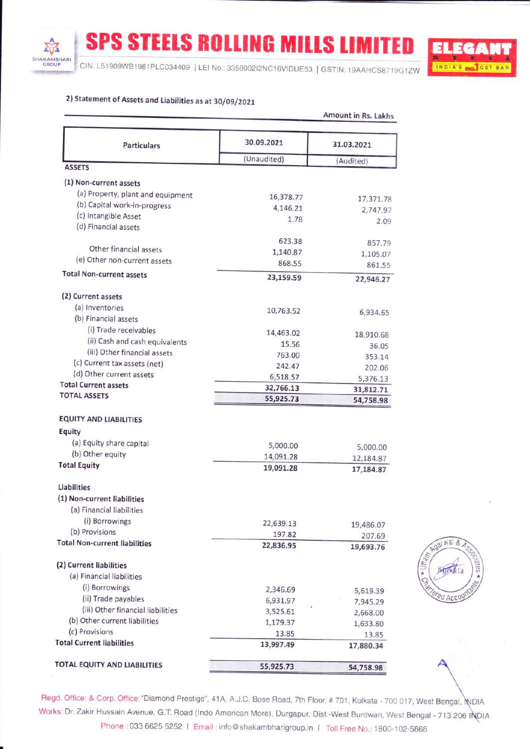**SPS STEELS ROLLING MILLS LIMITED** 

CIN: L51909WB1981PLC034409 | LEI No.: 3358002I2NC16VIDUE53 | GSTIN: 19AAHCS8719G1ZW

Amount in Bellevine



natwal &

**CO ACCOU** 

# 2) Statement of Assets and Liabilities as at 30/09/2021

SHAKAMBHARI

| <b>Particulars</b>                   | 30.09.2021               | 31.03.2021 |  |
|--------------------------------------|--------------------------|------------|--|
|                                      | (Unaudited)              | (Audited)  |  |
| <b>ASSETS</b>                        |                          |            |  |
| (1) Non-current assets               |                          |            |  |
| (a) Property, plant and equipment    |                          |            |  |
| (b) Capital work-in-progress         | 16,378.77<br>4,146.21    | 17,371.78  |  |
| (c) Intangible Asset                 | 1.78                     | 2,747.97   |  |
| (d) Financial assets                 |                          | 2.09       |  |
|                                      | 623.38                   | 857.79     |  |
| Other financial assets               | 1,140.87                 | 1,105.07   |  |
| (e) Other non-current assets         | 868.55                   | 861.55     |  |
| <b>Total Non-current assets</b>      | 23,159.59                | 22,946.27  |  |
|                                      |                          |            |  |
| (2) Current assets                   |                          |            |  |
| (a) Inventories                      | 10,763.52                | 6,934.65   |  |
| (b) Financial assets                 |                          |            |  |
| (i) Trade receivables                | 14,463.02                | 18,910.68  |  |
| (ii) Cash and cash equivalents       | 15.56                    | 36.05      |  |
| (iii) Other financial assets         | 763.00                   | 353.14     |  |
| (c) Current tax assets (net)         | 242.47                   | 202.06     |  |
| (d) Other current assets             | 6,518.57                 | 5,376.13   |  |
| <b>Total Current assets</b>          | 32,766.13                | 31,812.71  |  |
| <b>TOTAL ASSETS</b>                  | 55,925.73                | 54,758.98  |  |
| <b>EQUITY AND LIABILITIES</b>        |                          |            |  |
| Equity                               |                          |            |  |
| (a) Equity share capital             |                          |            |  |
| (b) Other equity                     | 5,000.00                 | 5,000.00   |  |
| <b>Total Equity</b>                  | 14,091.28                | 12,184.87  |  |
|                                      | 19,091.28                | 17,184.87  |  |
| Liabilities                          |                          |            |  |
| (1) Non-current liabilities          |                          |            |  |
| (a) Financial liabilities            |                          |            |  |
| (i) Borrowings                       | 22,639.13                | 19,486.07  |  |
| (b) Provisions                       | 197.82                   | 207.69     |  |
| <b>Total Non-current liabilities</b> | 22,836.95                | 19,693.76  |  |
| (2) Current liabilities              |                          |            |  |
|                                      |                          |            |  |
| (a) Financial liabilities            |                          |            |  |
| (i) Borrowings                       | 2,346.69                 | 5,619.39   |  |
| (ii) Trade payables                  | 6,931.97<br>$^{\circ}$ 4 | 7,945.29   |  |
| (iii) Other financial liabilities    | 3,525.61                 | 2,668.00   |  |
| (b) Other current liabilities        | 1,179.37                 | 1,633.80   |  |
| (c) Provisions                       | 13.85                    | 13.85      |  |
| <b>Total Current liabilities</b>     | 13,997.49                | 17,880.34  |  |
| TOTAL EQUITY AND LIABILITIES         | 55,925.73                |            |  |

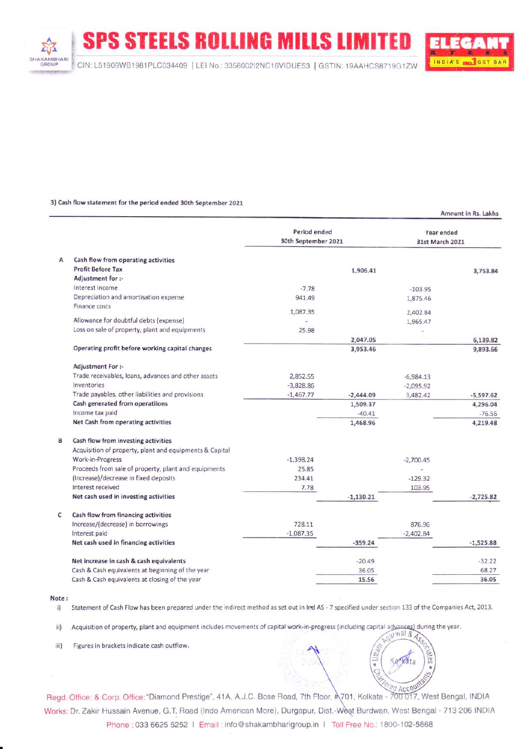SPS STEELS ROLLING MILLS LIMITED

### 3) Cash flow statement for the period ended 30th September 2021

Period ended Year ended 30th September 202L 31st March 2O2L Cash flow from operating activities  $\overline{A}$ Profit Before Tax 1,905.41 3,753.84 Adjustment for :lnterest income -7.78 -103.95 Depreciation and amortisation expense 94L.49 L,875.46 Finance costs 1,097.35 2,402.84 Allowance for doubtful debts (expense) 1,965.47 Loss on sale of property, plant and equipments 2s.98 2,047.05 5,139.82 Operating profit before working capital changes 3,953.45 9,893.66 Adjustment For :- Trade receivables, loans, advances and other assets 2,952.55 -6,984.13 lnventories -3,929.95 -2,095.92 Trade payables, other liabilities and provisions  $-1,467.77$   $-2,444.09$ 3,482.42 -5,597.62 Cash generated from operatiions 1,509.37 4,295.04 lncome tax paid  $-40.41$ -76.56 Net Cash from operating activities 1,468.95 4,219.48  $\mathbf{R}$ Cash flow from investing activities Acquisition of property, plant and equipments & Capital Work-in-Progress -L,398.24 -2,700.45 Proceeds from sale of property, plant and equipments 25.85 (lncrease)/decrease in fixed deposits 234.4t  $-129.32$ lnterest received 7.78 103.95 Net cash used in investing activities  $-1,130.21$ -2,725.82 Cash flow from financing activities  $\mathbf{C}$ <sup>I</sup>ncrease/(decrease) in borrowings 728.11 876.96 lnterest paid -1,097.35  $-2.402.84$ Net cash used in financing activities  $-359.24$   $-1,525.88$ Net increase in cash & cash equivalents -20.49 -32.22 Cash & Cash equivalents at beginning of the year 35.0s 68.27 Cash & Cash equivalents at closing of the year 15.56 35.05

#### Note:

A

**SHAKAMBHARI GROUP** 

i) Statement of Cash Flow has been prepared under the indirect method as set out in Ind AS - 7 specified under section 133 of the Companies Act, 2013.

Acquisition of property, plant and equipment includes movements of capital work-in-progress (including capital advances) during the year.<br> $\sqrt{3^{N}N^{2}}$ ii)

iii) Figures in brackets indicate cash outflow.

Regd. Office: & Corp. Office: "Diamond Prestige", 41A, A.J.C. Bose Road, 7th Floor, #1701, Kolkata - 700 017, West Bengal, INDIA Works: Dr. Zakir Hussain Avenue, G.T. Road (Indo American More), Durgapur, Dist.-West Burdwan, West Bengal - 713 206 INDIA Phone : 033 6625 5252 | Email : info@shakambharigroup.in | Toll Free No.: 1800-102-5868



Amount in Rs. Lakhs

S al